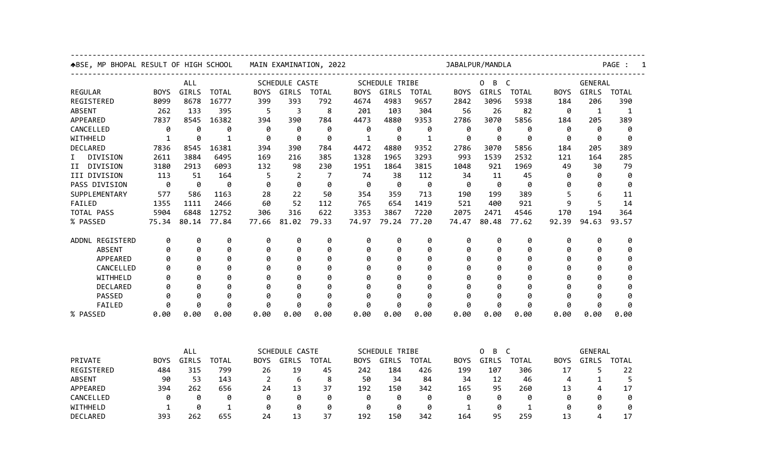| ABSE, MP BHOPAL RESULT OF HIGH SCHOOL |             | MAIN EXAMINATION, 2022 |              |                |                |              | JABALPUR/MANDLA       |       |              |                          |       |              | PAGE :         |              |              |  |
|---------------------------------------|-------------|------------------------|--------------|----------------|----------------|--------------|-----------------------|-------|--------------|--------------------------|-------|--------------|----------------|--------------|--------------|--|
|                                       | <b>ALL</b>  |                        |              | SCHEDULE CASTE |                |              | <b>SCHEDULE TRIBE</b> |       |              | $\overline{C}$<br>0<br>B |       |              | <b>GENERAL</b> |              |              |  |
| <b>REGULAR</b>                        | <b>BOYS</b> | GIRLS                  | <b>TOTAL</b> | <b>BOYS</b>    | GIRLS          | <b>TOTAL</b> | <b>BOYS</b>           | GIRLS | <b>TOTAL</b> | <b>BOYS</b>              | GIRLS | <b>TOTAL</b> | <b>BOYS</b>    | <b>GIRLS</b> | <b>TOTAL</b> |  |
| REGISTERED                            | 8099        | 8678                   | 16777        | 399            | 393            | 792          | 4674                  | 4983  | 9657         | 2842                     | 3096  | 5938         | 184            | 206          | 390          |  |
| <b>ABSENT</b>                         | 262         | 133                    | 395          | 5              | 3              | 8            | 201                   | 103   | 304          | 56                       | 26    | 82           | 0              | $\mathbf{1}$ | 1            |  |
| APPEARED                              | 7837        | 8545                   | 16382        | 394            | 390            | 784          | 4473                  | 4880  | 9353         | 2786                     | 3070  | 5856         | 184            | 205          | 389          |  |
| CANCELLED                             | 0           | 0                      | 0            | 0              | 0              | 0            | 0                     | 0     | 0            | 0                        | 0     | 0            | 0              | 0            | 0            |  |
| WITHHELD                              | 1           | ø                      | $\mathbf{1}$ | ø              | ø              | 0            | $\mathbf{1}$          | ø     | $\mathbf{1}$ | ø                        | ø     | ø            | ø              | ø            | ø            |  |
| DECLARED                              | 7836        | 8545                   | 16381        | 394            | 390            | 784          | 4472                  | 4880  | 9352         | 2786                     | 3070  | 5856         | 184            | 205          | 389          |  |
| DIVISION<br>I.                        | 2611        | 3884                   | 6495         | 169            | 216            | 385          | 1328                  | 1965  | 3293         | 993                      | 1539  | 2532         | 121            | 164          | 285          |  |
| DIVISION<br>II.                       | 3180        | 2913                   | 6093         | 132            | 98             | 230          | 1951                  | 1864  | 3815         | 1048                     | 921   | 1969         | 49             | 30           | 79           |  |
| III DIVISION                          | 113         | 51                     | 164          | 5              | $\overline{2}$ | 7            | 74                    | 38    | 112          | 34                       | 11    | 45           | 0              | 0            | 0            |  |
| PASS DIVISION                         | 0           | 0                      | 0            | 0              | ø              | 0            | 0                     | 0     | 0            | 0                        | 0     | 0            | 0              | 0            | 0            |  |
| SUPPLEMENTARY                         | 577         | 586                    | 1163         | 28             | 22             | 50           | 354                   | 359   | 713          | 190                      | 199   | 389          | 5              | 6            | 11           |  |
| FAILED                                | 1355        | 1111                   | 2466         | 60             | 52             | 112          | 765                   | 654   | 1419         | 521                      | 400   | 921          | 9              | 5            | 14           |  |
| TOTAL PASS                            | 5904        | 6848                   | 12752        | 306            | 316            | 622          | 3353                  | 3867  | 7220         | 2075                     | 2471  | 4546         | 170            | 194          | 364          |  |
| % PASSED                              | 75.34       | 80.14                  | 77.84        | 77.66          | 81.02          | 79.33        | 74.97                 | 79.24 | 77.20        | 74.47                    | 80.48 | 77.62        | 92.39          | 94.63        | 93.57        |  |
| ADDNL REGISTERD                       | 0           | 0                      | 0            | 0              | 0              | 0            | 0                     | 0     | 0            | 0                        | 0     | 0            | 0              | 0            | 0            |  |
| <b>ABSENT</b>                         | 0           | 0                      | 0            | 0              | 0              | 0            | 0                     | 0     | 0            | Ø                        | 0     | 0            | 0              | 0            | 0            |  |
| APPEARED                              | ø           | 0                      | 0            | 0              | 0              | 0            | 0                     | 0     | 0            | Ø                        | 0     | 0            | Ø              | ø            | 0            |  |
| CANCELLED                             | Ø           | ø                      | 0            | Ø              | 0              | 0            | Ø                     | 0     | 0            | Ø                        | 0     | 0            | Ø              | Ø            | 0            |  |
| WITHHELD                              | Ø           | 0                      | 0            | Ø              | 0              | 0            | Ø                     | 0     | 0            | Ø                        | 0     | 0            | Ø              | Ø            | 0            |  |
| DECLARED                              | Ø           | 0                      | 0            | Ø              | 0              | 0            | Ø                     | 0     | 0            | Ø                        | 0     | 0            | Ø              | Ø            | 0            |  |
| PASSED                                | 0           | 0                      | 0            | 0              | 0              | 0            | 0                     | 0     | 0            | Ø                        | 0     | 0            | 0              | 0            | 0            |  |
| FAILED                                | ø           | 0                      | 0            | ø              | 0              | 0            | 0                     | 0     | 0            | ø                        | 0     | 0            | ø              | 0            | 0            |  |
| % PASSED                              | 0.00        | 0.00                   | 0.00         | 0.00           | 0.00           | 0.00         | 0.00                  | 0.00  | 0.00         | 0.00                     | 0.00  | 0.00         | 0.00           | 0.00         | 0.00         |  |
|                                       |             |                        |              |                |                |              |                       |       |              |                          |       |              |                |              |              |  |
|                                       |             | ALL                    |              | SCHEDULE CASTE |                |              | <b>SCHEDULE TRIBE</b> |       |              | B<br>$\mathsf{C}$<br>0   |       |              | <b>GENERAL</b> |              |              |  |
| PRIVATE                               | <b>BOYS</b> | GIRLS                  | <b>TOTAL</b> | <b>BOYS</b>    | GIRLS          | <b>TOTAL</b> | <b>BOYS</b>           | GIRLS | <b>TOTAL</b> | <b>BOYS</b>              | GIRLS | <b>TOTAL</b> | <b>BOYS</b>    | GIRLS        | <b>TOTAL</b> |  |
| REGISTERED                            | 484         | 315                    | 799          | 26             | 19             | 45           | 242                   | 184   | 426          | 199                      | 107   | 306          | 17             | 5            | 22           |  |
| <b>ABSENT</b>                         | 90          | 53                     | 143          | 2              | 6              | 8            | 50                    | 34    | 84           | 34                       | 12    | 46           | 4              | 1            | 5            |  |
| APPEARED                              | 394         | 262                    | 656          | 24             | 13             | 37           | 192                   | 150   | 342          | 165                      | 95    | 260          | 13             | 4            | 17           |  |
| CANCELLED                             | 0           | 0                      | 0            | 0              | 0              | 0            | 0                     | 0     | 0            | 0                        | 0     | 0            | 0              | 0            | 0            |  |
| WITHHELD                              | 1           | 0                      | $\mathbf 1$  | 0              | 0              | 0            | 0                     | 0     | 0            | 1                        | 0     | $\mathbf 1$  | 0              | Ø            | 0            |  |
| DECLARED                              | 393         | 262                    | 655          | 24             | 13             | 37           | 192                   | 150   | 342          | 164                      | 95    | 259          | 13             | 4            | 17           |  |